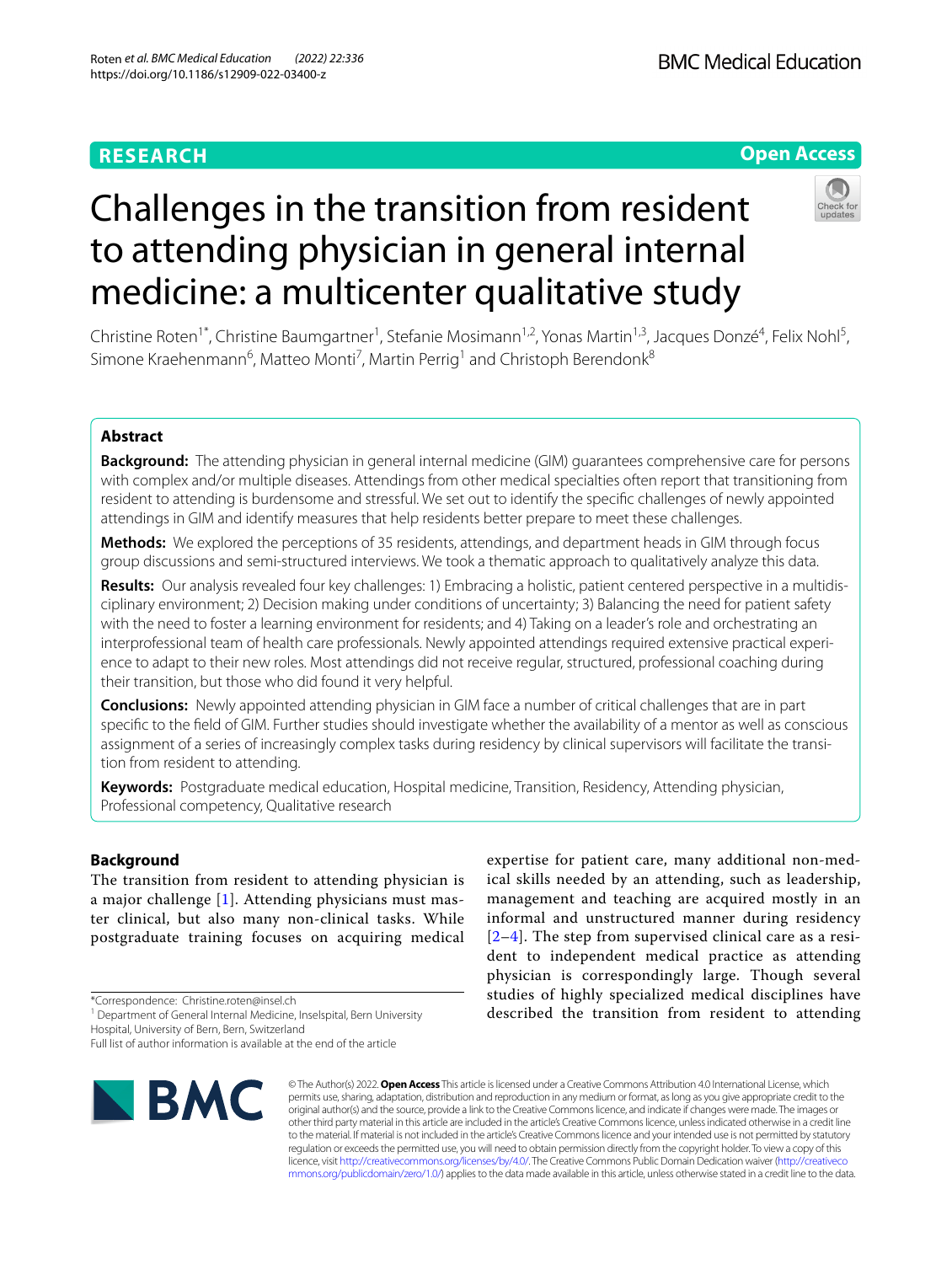## **RESEARCH**

## **Open Access**



# Challenges in the transition from resident to attending physician in general internal medicine: a multicenter qualitative study

Christine Roten<sup>1\*</sup>, Christine Baumgartner<sup>1</sup>, Stefanie Mosimann<sup>1,2</sup>, Yonas Martin<sup>1,3</sup>, Jacques Donzé<sup>4</sup>, Felix Nohl<sup>5</sup>, Simone Kraehenmann<sup>6</sup>, Matteo Monti<sup>7</sup>, Martin Perrig<sup>1</sup> and Christoph Berendonk<sup>8</sup>

## **Abstract**

**Background:** The attending physician in general internal medicine (GIM) guarantees comprehensive care for persons with complex and/or multiple diseases. Attendings from other medical specialties often report that transitioning from resident to attending is burdensome and stressful. We set out to identify the specifc challenges of newly appointed attendings in GIM and identify measures that help residents better prepare to meet these challenges.

**Methods:** We explored the perceptions of 35 residents, attendings, and department heads in GIM through focus group discussions and semi-structured interviews. We took a thematic approach to qualitatively analyze this data.

**Results:** Our analysis revealed four key challenges: 1) Embracing a holistic, patient centered perspective in a multidisciplinary environment; 2) Decision making under conditions of uncertainty; 3) Balancing the need for patient safety with the need to foster a learning environment for residents; and 4) Taking on a leader's role and orchestrating an interprofessional team of health care professionals. Newly appointed attendings required extensive practical experience to adapt to their new roles. Most attendings did not receive regular, structured, professional coaching during their transition, but those who did found it very helpful.

**Conclusions:** Newly appointed attending physician in GIM face a number of critical challenges that are in part specifc to the feld of GIM. Further studies should investigate whether the availability of a mentor as well as conscious assignment of a series of increasingly complex tasks during residency by clinical supervisors will facilitate the transition from resident to attending.

**Keywords:** Postgraduate medical education, Hospital medicine, Transition, Residency, Attending physician, Professional competency, Qualitative research

## **Background**

The transition from resident to attending physician is a major challenge [[1\]](#page-6-0). Attending physicians must master clinical, but also many non-clinical tasks. While postgraduate training focuses on acquiring medical

\*Correspondence: Christine.roten@insel.ch

<sup>1</sup> Department of General Internal Medicine, Inselspital, Bern University

Hospital, University of Bern, Bern, Switzerland

Full list of author information is available at the end of the article



expertise for patient care, many additional non-medical skills needed by an attending, such as leadership, management and teaching are acquired mostly in an informal and unstructured manner during residency [[2](#page-6-1)[–4](#page-6-2)]. The step from supervised clinical care as a resident to independent medical practice as attending physician is correspondingly large. Though several studies of highly specialized medical disciplines have described the transition from resident to attending

© The Author(s) 2022. **Open Access** This article is licensed under a Creative Commons Attribution 4.0 International License, which permits use, sharing, adaptation, distribution and reproduction in any medium or format, as long as you give appropriate credit to the original author(s) and the source, provide a link to the Creative Commons licence, and indicate if changes were made. The images or other third party material in this article are included in the article's Creative Commons licence, unless indicated otherwise in a credit line to the material. If material is not included in the article's Creative Commons licence and your intended use is not permitted by statutory regulation or exceeds the permitted use, you will need to obtain permission directly from the copyright holder. To view a copy of this licence, visit [http://creativecommons.org/licenses/by/4.0/.](http://creativecommons.org/licenses/by/4.0/) The Creative Commons Public Domain Dedication waiver ([http://creativeco](http://creativecommons.org/publicdomain/zero/1.0/) [mmons.org/publicdomain/zero/1.0/](http://creativecommons.org/publicdomain/zero/1.0/)) applies to the data made available in this article, unless otherwise stated in a credit line to the data.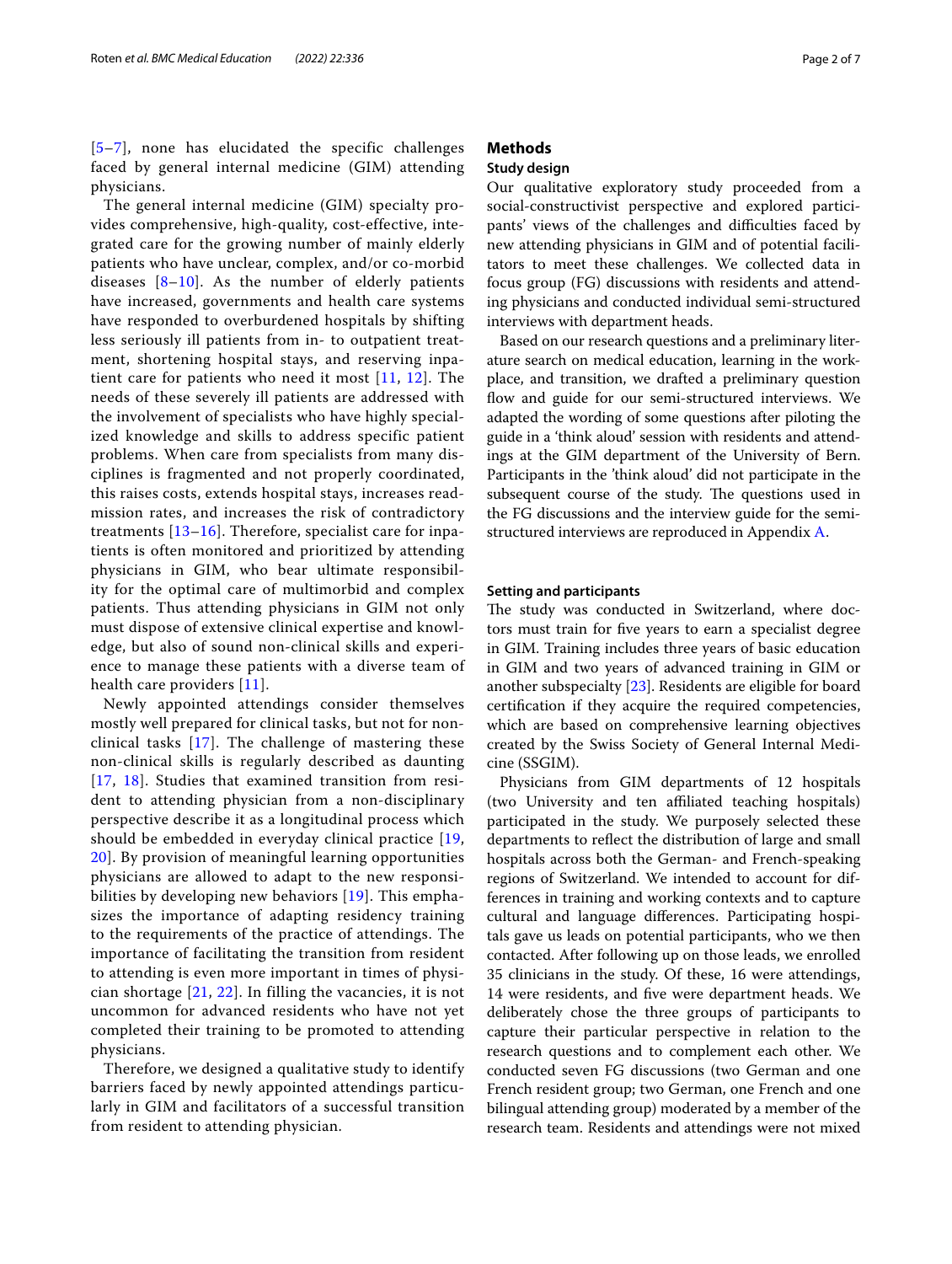[[5](#page-6-3)[–7](#page-6-4)], none has elucidated the specific challenges faced by general internal medicine (GIM) attending physicians.

The general internal medicine (GIM) specialty provides comprehensive, high-quality, cost-effective, integrated care for the growing number of mainly elderly patients who have unclear, complex, and/or co-morbid diseases  $[8-10]$  $[8-10]$  $[8-10]$ . As the number of elderly patients have increased, governments and health care systems have responded to overburdened hospitals by shifting less seriously ill patients from in- to outpatient treatment, shortening hospital stays, and reserving inpatient care for patients who need it most [\[11,](#page-6-7) [12\]](#page-6-8). The needs of these severely ill patients are addressed with the involvement of specialists who have highly specialized knowledge and skills to address specific patient problems. When care from specialists from many disciplines is fragmented and not properly coordinated, this raises costs, extends hospital stays, increases readmission rates, and increases the risk of contradictory treatments [[13](#page-6-9)[–16](#page-6-10)]. Therefore, specialist care for inpatients is often monitored and prioritized by attending physicians in GIM, who bear ultimate responsibility for the optimal care of multimorbid and complex patients. Thus attending physicians in GIM not only must dispose of extensive clinical expertise and knowledge, but also of sound non-clinical skills and experience to manage these patients with a diverse team of health care providers [[11\]](#page-6-7).

Newly appointed attendings consider themselves mostly well prepared for clinical tasks, but not for nonclinical tasks [\[17\]](#page-6-11). The challenge of mastering these non-clinical skills is regularly described as daunting [[17](#page-6-11), [18](#page-6-12)]. Studies that examined transition from resident to attending physician from a non-disciplinary perspective describe it as a longitudinal process which should be embedded in everyday clinical practice [[19](#page-6-13), [20\]](#page-6-14). By provision of meaningful learning opportunities physicians are allowed to adapt to the new responsibilities by developing new behaviors [[19\]](#page-6-13). This emphasizes the importance of adapting residency training to the requirements of the practice of attendings. The importance of facilitating the transition from resident to attending is even more important in times of physician shortage [\[21,](#page-6-15) [22](#page-6-16)]. In filling the vacancies, it is not uncommon for advanced residents who have not yet completed their training to be promoted to attending physicians.

Therefore, we designed a qualitative study to identify barriers faced by newly appointed attendings particularly in GIM and facilitators of a successful transition from resident to attending physician.

## **Methods**

## **Study design**

Our qualitative exploratory study proceeded from a social-constructivist perspective and explored participants' views of the challenges and difficulties faced by new attending physicians in GIM and of potential facilitators to meet these challenges. We collected data in focus group (FG) discussions with residents and attending physicians and conducted individual semi-structured interviews with department heads.

Based on our research questions and a preliminary literature search on medical education, learning in the workplace, and transition, we drafted a preliminary question flow and guide for our semi-structured interviews. We adapted the wording of some questions after piloting the guide in a 'think aloud' session with residents and attendings at the GIM department of the University of Bern. Participants in the 'think aloud' did not participate in the subsequent course of the study. The questions used in the FG discussions and the interview guide for the semistructured interviews are reproduced in Appendix [A.](#page-5-0)

#### **Setting and participants**

The study was conducted in Switzerland, where doctors must train for fve years to earn a specialist degree in GIM. Training includes three years of basic education in GIM and two years of advanced training in GIM or another subspecialty [[23](#page-6-17)]. Residents are eligible for board certifcation if they acquire the required competencies, which are based on comprehensive learning objectives created by the Swiss Society of General Internal Medicine (SSGIM).

Physicians from GIM departments of 12 hospitals (two University and ten afliated teaching hospitals) participated in the study. We purposely selected these departments to refect the distribution of large and small hospitals across both the German- and French-speaking regions of Switzerland. We intended to account for differences in training and working contexts and to capture cultural and language diferences. Participating hospitals gave us leads on potential participants, who we then contacted. After following up on those leads, we enrolled 35 clinicians in the study. Of these, 16 were attendings, 14 were residents, and fve were department heads. We deliberately chose the three groups of participants to capture their particular perspective in relation to the research questions and to complement each other. We conducted seven FG discussions (two German and one French resident group; two German, one French and one bilingual attending group) moderated by a member of the research team. Residents and attendings were not mixed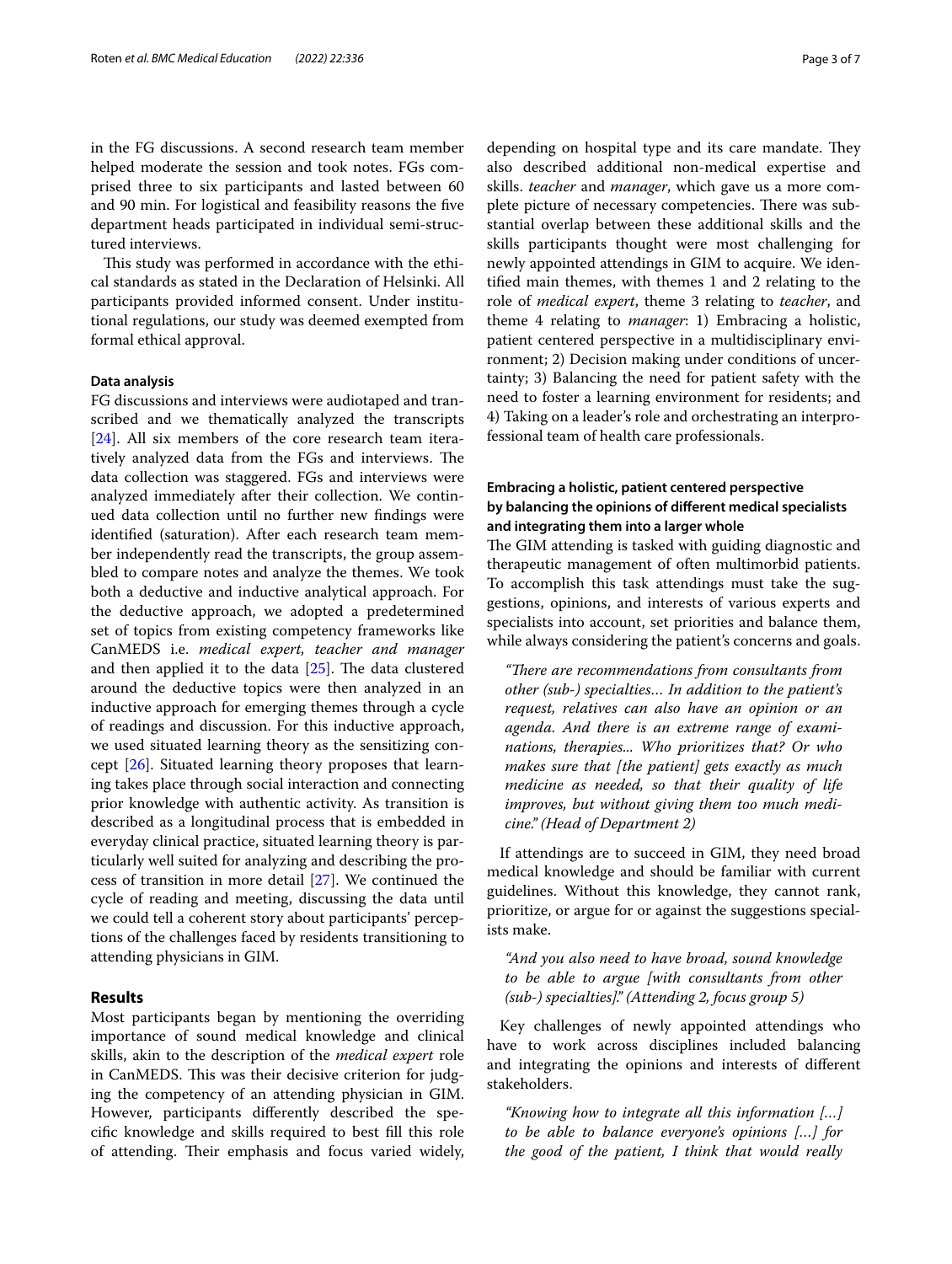in the FG discussions. A second research team member helped moderate the session and took notes. FGs comprised three to six participants and lasted between 60 and 90 min. For logistical and feasibility reasons the fve department heads participated in individual semi-structured interviews.

This study was performed in accordance with the ethical standards as stated in the Declaration of Helsinki. All participants provided informed consent. Under institutional regulations, our study was deemed exempted from formal ethical approval.

#### **Data analysis**

FG discussions and interviews were audiotaped and transcribed and we thematically analyzed the transcripts [[24\]](#page-6-18). All six members of the core research team iteratively analyzed data from the FGs and interviews. The data collection was staggered. FGs and interviews were analyzed immediately after their collection. We continued data collection until no further new fndings were identifed (saturation). After each research team member independently read the transcripts, the group assembled to compare notes and analyze the themes. We took both a deductive and inductive analytical approach. For the deductive approach, we adopted a predetermined set of topics from existing competency frameworks like CanMEDS i.e. *medical expert, teacher and manager* and then applied it to the data  $[25]$ . The data clustered around the deductive topics were then analyzed in an inductive approach for emerging themes through a cycle of readings and discussion. For this inductive approach, we used situated learning theory as the sensitizing concept [\[26\]](#page-6-20). Situated learning theory proposes that learning takes place through social interaction and connecting prior knowledge with authentic activity. As transition is described as a longitudinal process that is embedded in everyday clinical practice, situated learning theory is particularly well suited for analyzing and describing the process of transition in more detail [[27\]](#page-6-21). We continued the cycle of reading and meeting, discussing the data until we could tell a coherent story about participants' perceptions of the challenges faced by residents transitioning to attending physicians in GIM.

#### **Results**

Most participants began by mentioning the overriding importance of sound medical knowledge and clinical skills, akin to the description of the *medical expert* role in CanMEDS. This was their decisive criterion for judging the competency of an attending physician in GIM. However, participants diferently described the specifc knowledge and skills required to best fll this role of attending. Their emphasis and focus varied widely, depending on hospital type and its care mandate. They also described additional non-medical expertise and skills. *teacher* and *manager*, which gave us a more complete picture of necessary competencies. There was substantial overlap between these additional skills and the skills participants thought were most challenging for newly appointed attendings in GIM to acquire. We identifed main themes, with themes 1 and 2 relating to the role of *medical expert*, theme 3 relating to *teacher*, and theme 4 relating to *manager*: 1) Embracing a holistic, patient centered perspective in a multidisciplinary environment; 2) Decision making under conditions of uncertainty; 3) Balancing the need for patient safety with the need to foster a learning environment for residents; and 4) Taking on a leader's role and orchestrating an interprofessional team of health care professionals.

## **Embracing a holistic, patient centered perspective by balancing the opinions of diferent medical specialists and integrating them into a larger whole**

The GIM attending is tasked with guiding diagnostic and therapeutic management of often multimorbid patients. To accomplish this task attendings must take the suggestions, opinions, and interests of various experts and specialists into account, set priorities and balance them, while always considering the patient's concerns and goals.

*"Tere are recommendations from consultants from other (sub-) specialties… In addition to the patient's request, relatives can also have an opinion or an agenda. And there is an extreme range of examinations, therapies... Who prioritizes that? Or who makes sure that [the patient] gets exactly as much medicine as needed, so that their quality of life improves, but without giving them too much medicine." (Head of Department 2)*

If attendings are to succeed in GIM, they need broad medical knowledge and should be familiar with current guidelines. Without this knowledge, they cannot rank, prioritize, or argue for or against the suggestions specialists make.

*"And you also need to have broad, sound knowledge to be able to argue [with consultants from other (sub-) specialties]." (Attending 2, focus group 5)*

Key challenges of newly appointed attendings who have to work across disciplines included balancing and integrating the opinions and interests of diferent stakeholders.

*"Knowing how to integrate all this information […] to be able to balance everyone's opinions […] for the good of the patient, I think that would really*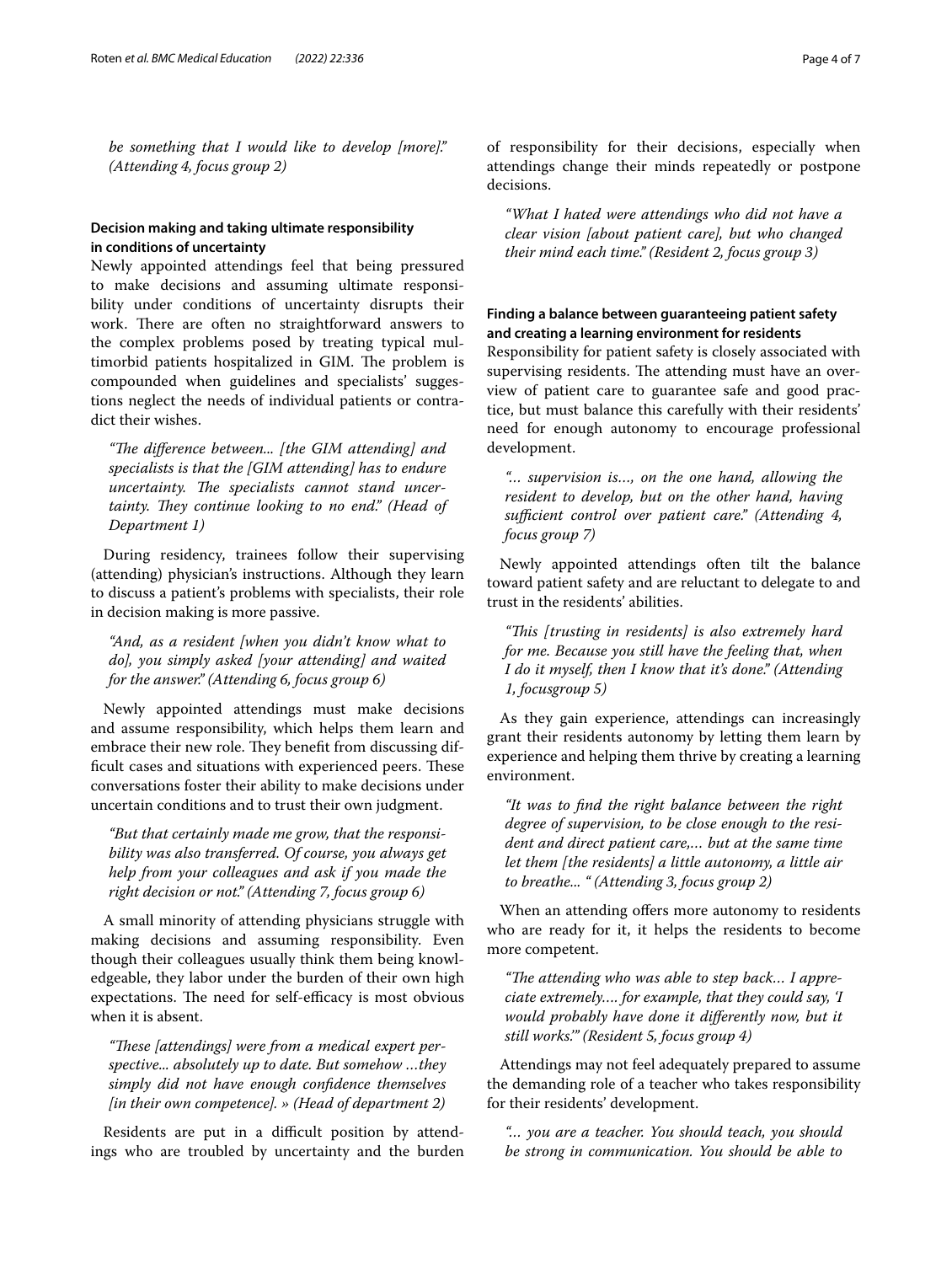*be something that I would like to develop [more]." (Attending 4, focus group 2)*

## **Decision making and taking ultimate responsibility in conditions of uncertainty**

Newly appointed attendings feel that being pressured to make decisions and assuming ultimate responsibility under conditions of uncertainty disrupts their work. There are often no straightforward answers to the complex problems posed by treating typical multimorbid patients hospitalized in GIM. The problem is compounded when guidelines and specialists' suggestions neglect the needs of individual patients or contradict their wishes.

*"Te diference between... [the GIM attending] and specialists is that the [GIM attending] has to endure*  uncertainty. The specialists cannot stand uncertainty. They continue looking to no end." (Head of *Department 1)*

During residency, trainees follow their supervising (attending) physician's instructions. Although they learn to discuss a patient's problems with specialists, their role in decision making is more passive.

*"And, as a resident [when you didn't know what to do], you simply asked [your attending] and waited for the answer." (Attending 6, focus group 6)*

Newly appointed attendings must make decisions and assume responsibility, which helps them learn and embrace their new role. They benefit from discussing difficult cases and situations with experienced peers. These conversations foster their ability to make decisions under uncertain conditions and to trust their own judgment.

*"But that certainly made me grow, that the responsibility was also transferred. Of course, you always get help from your colleagues and ask if you made the right decision or not." (Attending 7, focus group 6)*

A small minority of attending physicians struggle with making decisions and assuming responsibility. Even though their colleagues usually think them being knowledgeable, they labor under the burden of their own high expectations. The need for self-efficacy is most obvious when it is absent.

"These [attendings] were from a medical expert per*spective... absolutely up to date. But somehow …they simply did not have enough confdence themselves [in their own competence]. » (Head of department 2)*

Residents are put in a difficult position by attendings who are troubled by uncertainty and the burden of responsibility for their decisions, especially when attendings change their minds repeatedly or postpone decisions.

*"What I hated were attendings who did not have a clear vision [about patient care], but who changed their mind each time." (Resident 2, focus group 3)*

## **Finding a balance between guaranteeing patient safety and creating a learning environment for residents**

Responsibility for patient safety is closely associated with supervising residents. The attending must have an overview of patient care to guarantee safe and good practice, but must balance this carefully with their residents' need for enough autonomy to encourage professional development.

*"… supervision is…, on the one hand, allowing the resident to develop, but on the other hand, having*  sufficient control over patient care." (Attending 4, *focus group 7)*

Newly appointed attendings often tilt the balance toward patient safety and are reluctant to delegate to and trust in the residents' abilities.

*"Tis [trusting in residents] is also extremely hard for me. Because you still have the feeling that, when I do it myself, then I know that it's done." (Attending 1, focusgroup 5)*

As they gain experience, attendings can increasingly grant their residents autonomy by letting them learn by experience and helping them thrive by creating a learning environment.

*"It was to fnd the right balance between the right degree of supervision, to be close enough to the resident and direct patient care,… but at the same time let them [the residents] a little autonomy, a little air to breathe... " (Attending 3, focus group 2)*

When an attending offers more autonomy to residents who are ready for it, it helps the residents to become more competent.

"The attending who was able to step back... I appre*ciate extremely…. for example, that they could say, 'I would probably have done it diferently now, but it still works.'" (Resident 5, focus group 4)*

Attendings may not feel adequately prepared to assume the demanding role of a teacher who takes responsibility for their residents' development.

*"… you are a teacher. You should teach, you should be strong in communication. You should be able to*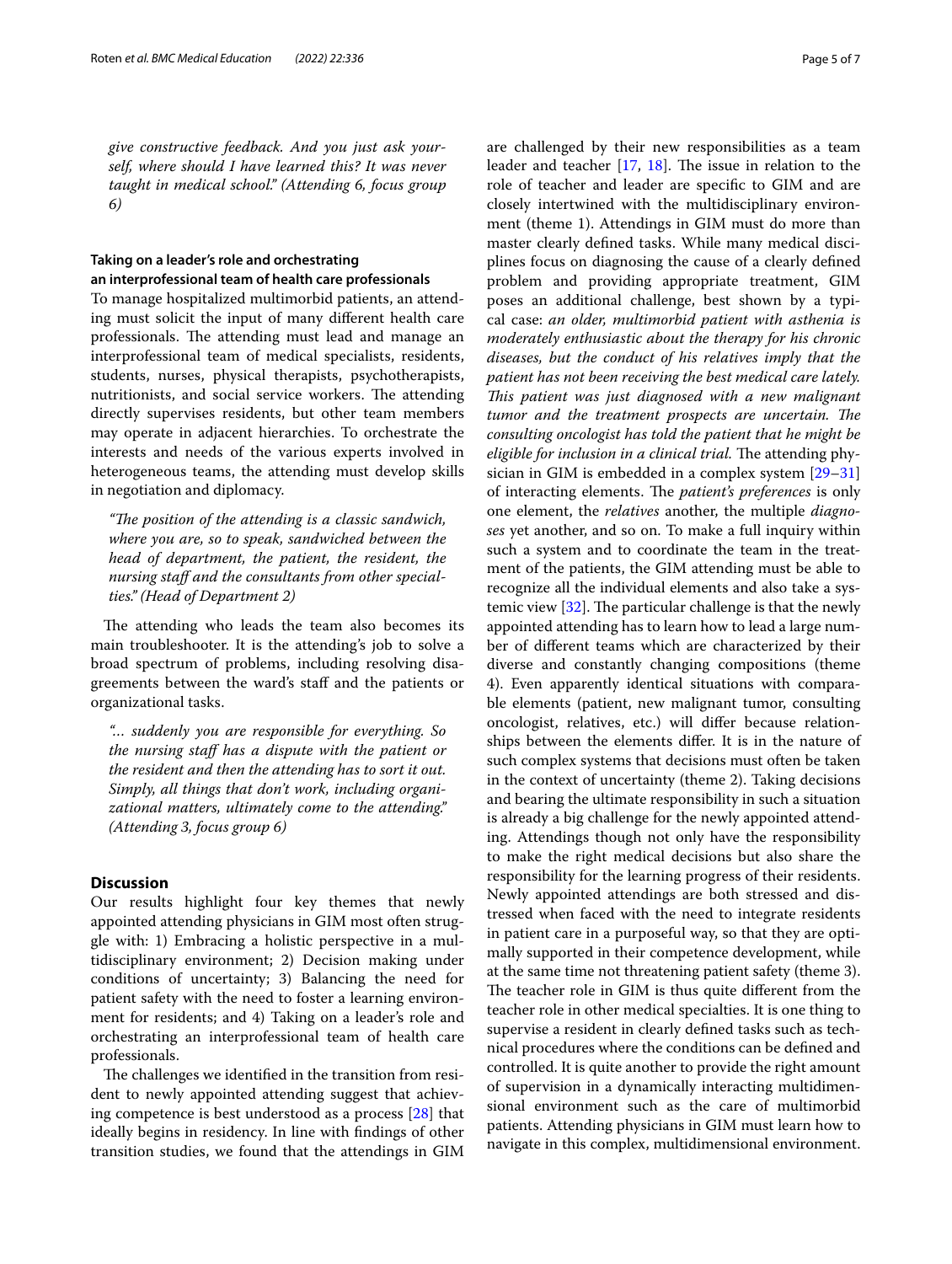*give constructive feedback. And you just ask yourself, where should I have learned this? It was never taught in medical school." (Attending 6, focus group 6)*

## **Taking on a leader's role and orchestrating an interprofessional team of health care professionals**

To manage hospitalized multimorbid patients, an attending must solicit the input of many diferent health care professionals. The attending must lead and manage an interprofessional team of medical specialists, residents, students, nurses, physical therapists, psychotherapists, nutritionists, and social service workers. The attending directly supervises residents, but other team members may operate in adjacent hierarchies. To orchestrate the interests and needs of the various experts involved in heterogeneous teams, the attending must develop skills in negotiation and diplomacy.

*"The position of the attending is a classic sandwich, where you are, so to speak, sandwiched between the head of department, the patient, the resident, the nursing staf and the consultants from other specialties." (Head of Department 2)*

The attending who leads the team also becomes its main troubleshooter. It is the attending's job to solve a broad spectrum of problems, including resolving disagreements between the ward's staf and the patients or organizational tasks.

*"… suddenly you are responsible for everything. So the nursing staf has a dispute with the patient or the resident and then the attending has to sort it out. Simply, all things that don't work, including organizational matters, ultimately come to the attending." (Attending 3, focus group 6)*

## **Discussion**

Our results highlight four key themes that newly appointed attending physicians in GIM most often struggle with: 1) Embracing a holistic perspective in a multidisciplinary environment; 2) Decision making under conditions of uncertainty; 3) Balancing the need for patient safety with the need to foster a learning environment for residents; and 4) Taking on a leader's role and orchestrating an interprofessional team of health care professionals.

The challenges we identified in the transition from resident to newly appointed attending suggest that achieving competence is best understood as a process [[28](#page-6-22)] that ideally begins in residency. In line with fndings of other transition studies, we found that the attendings in GIM are challenged by their new responsibilities as a team leader and teacher  $[17, 18]$  $[17, 18]$  $[17, 18]$ . The issue in relation to the role of teacher and leader are specifc to GIM and are closely intertwined with the multidisciplinary environment (theme 1). Attendings in GIM must do more than master clearly defned tasks. While many medical disciplines focus on diagnosing the cause of a clearly defned problem and providing appropriate treatment, GIM poses an additional challenge, best shown by a typical case: *an older, multimorbid patient with asthenia is moderately enthusiastic about the therapy for his chronic diseases, but the conduct of his relatives imply that the patient has not been receiving the best medical care lately. Tis patient was just diagnosed with a new malignant tumor and the treatment prospects are uncertain. The consulting oncologist has told the patient that he might be eligible for inclusion in a clinical trial.* The attending physician in GIM is embedded in a complex system [[29–](#page-6-23)[31](#page-6-24)] of interacting elements. The *patient's preferences* is only one element, the *relatives* another, the multiple *diagnoses* yet another, and so on. To make a full inquiry within such a system and to coordinate the team in the treatment of the patients, the GIM attending must be able to recognize all the individual elements and also take a systemic view  $[32]$ . The particular challenge is that the newly appointed attending has to learn how to lead a large number of diferent teams which are characterized by their diverse and constantly changing compositions (theme 4). Even apparently identical situations with comparable elements (patient, new malignant tumor, consulting oncologist, relatives, etc.) will difer because relationships between the elements difer. It is in the nature of such complex systems that decisions must often be taken in the context of uncertainty (theme 2). Taking decisions and bearing the ultimate responsibility in such a situation is already a big challenge for the newly appointed attending. Attendings though not only have the responsibility to make the right medical decisions but also share the responsibility for the learning progress of their residents. Newly appointed attendings are both stressed and distressed when faced with the need to integrate residents in patient care in a purposeful way, so that they are optimally supported in their competence development, while at the same time not threatening patient safety (theme 3). The teacher role in GIM is thus quite different from the teacher role in other medical specialties. It is one thing to supervise a resident in clearly defned tasks such as technical procedures where the conditions can be defned and controlled. It is quite another to provide the right amount of supervision in a dynamically interacting multidimensional environment such as the care of multimorbid patients. Attending physicians in GIM must learn how to navigate in this complex, multidimensional environment.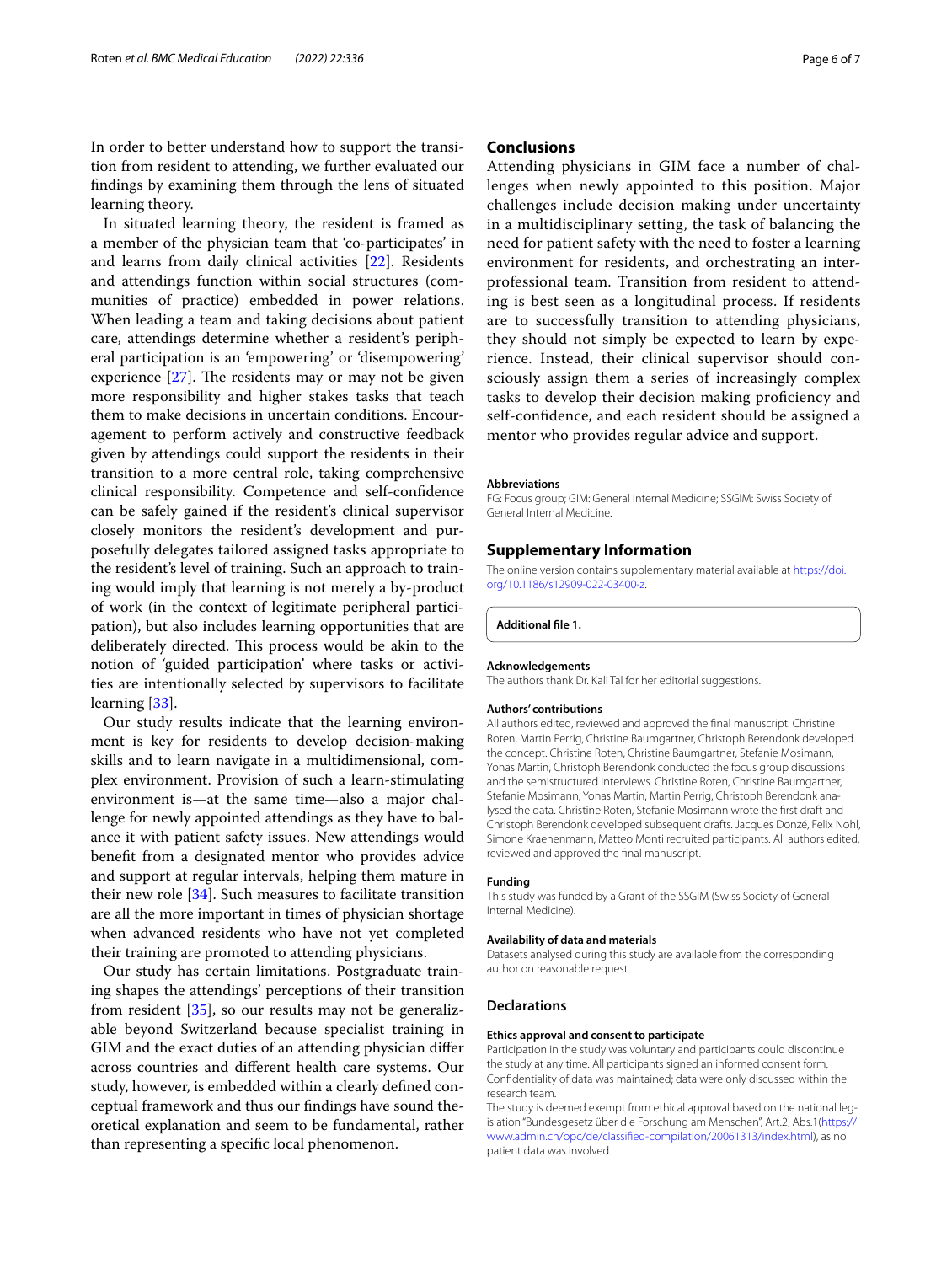In order to better understand how to support the transition from resident to attending, we further evaluated our fndings by examining them through the lens of situated learning theory.

In situated learning theory, the resident is framed as a member of the physician team that 'co-participates' in and learns from daily clinical activities [[22](#page-6-16)]. Residents and attendings function within social structures (communities of practice) embedded in power relations. When leading a team and taking decisions about patient care, attendings determine whether a resident's peripheral participation is an 'empowering' or 'disempowering' experience  $[27]$  $[27]$ . The residents may or may not be given more responsibility and higher stakes tasks that teach them to make decisions in uncertain conditions. Encouragement to perform actively and constructive feedback given by attendings could support the residents in their transition to a more central role, taking comprehensive clinical responsibility. Competence and self-confdence can be safely gained if the resident's clinical supervisor closely monitors the resident's development and purposefully delegates tailored assigned tasks appropriate to the resident's level of training. Such an approach to training would imply that learning is not merely a by-product of work (in the context of legitimate peripheral participation), but also includes learning opportunities that are deliberately directed. This process would be akin to the notion of 'guided participation' where tasks or activities are intentionally selected by supervisors to facilitate learning [[33\]](#page-6-26).

Our study results indicate that the learning environment is key for residents to develop decision-making skills and to learn navigate in a multidimensional, complex environment. Provision of such a learn-stimulating environment is—at the same time—also a major challenge for newly appointed attendings as they have to balance it with patient safety issues. New attendings would beneft from a designated mentor who provides advice and support at regular intervals, helping them mature in their new role [\[34\]](#page-6-27). Such measures to facilitate transition are all the more important in times of physician shortage when advanced residents who have not yet completed their training are promoted to attending physicians.

Our study has certain limitations. Postgraduate training shapes the attendings' perceptions of their transition from resident [[35\]](#page-6-28), so our results may not be generalizable beyond Switzerland because specialist training in GIM and the exact duties of an attending physician difer across countries and diferent health care systems. Our study, however, is embedded within a clearly defned conceptual framework and thus our fndings have sound theoretical explanation and seem to be fundamental, rather than representing a specifc local phenomenon.

### **Conclusions**

Attending physicians in GIM face a number of challenges when newly appointed to this position. Major challenges include decision making under uncertainty in a multidisciplinary setting, the task of balancing the need for patient safety with the need to foster a learning environment for residents, and orchestrating an interprofessional team. Transition from resident to attending is best seen as a longitudinal process. If residents are to successfully transition to attending physicians, they should not simply be expected to learn by experience. Instead, their clinical supervisor should consciously assign them a series of increasingly complex tasks to develop their decision making profciency and self-confdence, and each resident should be assigned a mentor who provides regular advice and support.

#### **Abbreviations**

FG: Focus group; GIM: General Internal Medicine; SSGIM: Swiss Society of General Internal Medicine.

#### **Supplementary Information**

The online version contains supplementary material available at [https://doi.](https://doi.org/10.1186/s12909-022-03400-z) [org/10.1186/s12909-022-03400-z.](https://doi.org/10.1186/s12909-022-03400-z)

<span id="page-5-0"></span>**Additional fle 1.**

#### **Acknowledgements**

The authors thank Dr. Kali Tal for her editorial suggestions.

#### **Authors' contributions**

All authors edited, reviewed and approved the fnal manuscript. Christine Roten, Martin Perrig, Christine Baumgartner, Christoph Berendonk developed the concept. Christine Roten, Christine Baumgartner, Stefanie Mosimann, Yonas Martin, Christoph Berendonk conducted the focus group discussions and the semistructured interviews. Christine Roten, Christine Baumgartner, Stefanie Mosimann, Yonas Martin, Martin Perrig, Christoph Berendonk analysed the data. Christine Roten, Stefanie Mosimann wrote the frst draft and Christoph Berendonk developed subsequent drafts. Jacques Donzé, Felix Nohl, Simone Kraehenmann, Matteo Monti recruited participants. All authors edited, reviewed and approved the fnal manuscript.

#### **Funding**

This study was funded by a Grant of the SSGIM (Swiss Society of General Internal Medicine).

#### **Availability of data and materials**

Datasets analysed during this study are available from the corresponding author on reasonable request.

#### **Declarations**

#### **Ethics approval and consent to participate**

Participation in the study was voluntary and participants could discontinue the study at any time. All participants signed an informed consent form. Confdentiality of data was maintained; data were only discussed within the research team.

The study is deemed exempt from ethical approval based on the national legislation "Bundesgesetz über die Forschung am Menschen", Art.2, Abs.1[\(https://](https://www.admin.ch/opc/de/classified-compilation/20061313/index.html) [www.admin.ch/opc/de/classifed-compilation/20061313/index.html\)](https://www.admin.ch/opc/de/classified-compilation/20061313/index.html), as no patient data was involved.